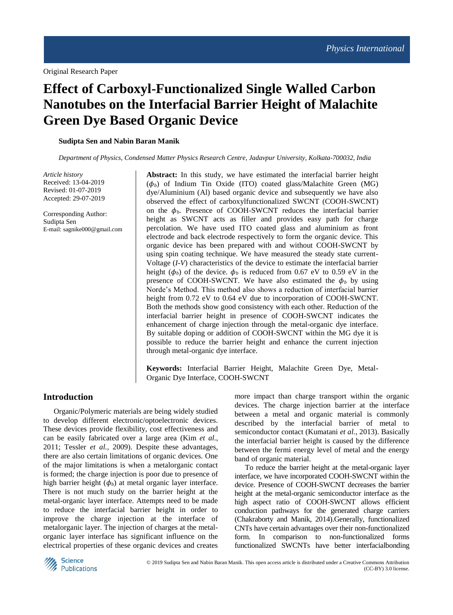# **Effect of Carboxyl-Functionalized Single Walled Carbon Nanotubes on the Interfacial Barrier Height of Malachite Green Dye Based Organic Device**

**Sudipta Sen and Nabin Baran Manik**

*Department of Physics, Condensed Matter Physics Research Centre, Jadavpur University, Kolkata-700032, India*

*Article history* Received: 13-04-2019 Revised: 01-07-2019 Accepted: 29-07-2019

Corresponding Author: Sudipta Sen E-mail: sagnike000@gmail.com **Abstract:** In this study, we have estimated the interfacial barrier height  $(\phi_b)$  of Indium Tin Oxide (ITO) coated glass/Malachite Green (MG) dye/Aluminium (Al) based organic device and subsequently we have also observed the effect of carboxylfunctionalized SWCNT (COOH-SWCNT) on the  $\phi_b$ . Presence of COOH-SWCNT reduces the interfacial barrier height as SWCNT acts as filler and provides easy path for charge percolation. We have used ITO coated glass and aluminium as front electrode and back electrode respectively to form the organic device. This organic device has been prepared with and without COOH-SWCNT by using spin coating technique. We have measured the steady state current-Voltage (*I*-*V*) characteristics of the device to estimate the interfacial barrier height ( $\phi_b$ ) of the device.  $\phi_b$  is reduced from 0.67 eV to 0.59 eV in the presence of COOH-SWCNT. We have also estimated the  $\phi_b$  by using Norde's Method. This method also shows a reduction of interfacial barrier height from 0.72 eV to 0.64 eV due to incorporation of COOH-SWCNT. Both the methods show good consistency with each other. Reduction of the interfacial barrier height in presence of COOH-SWCNT indicates the enhancement of charge injection through the metal-organic dye interface. By suitable doping or addition of COOH-SWCNT within the MG dye it is possible to reduce the barrier height and enhance the current injection through metal-organic dye interface.

**Keywords:** Interfacial Barrier Height, Malachite Green Dye, Metal-Organic Dye Interface, COOH-SWCNT

## **Introduction**

Organic/Polymeric materials are being widely studied to develop different electronic/optoelectronic devices. These devices provide flexibility, cost effectiveness and can be easily fabricated over a large area (Kim *et al.*, 2011; Tessler *et al.*, 2009). Despite these advantages, there are also certain limitations of organic devices. One of the major limitations is when a metalorganic contact is formed; the charge injection is poor due to presence of high barrier height  $(\phi_b)$  at metal organic layer interface. There is not much study on the barrier height at the metal-organic layer interface. Attempts need to be made to reduce the interfacial barrier height in order to improve the charge injection at the interface of metalorganic layer. The injection of charges at the metalorganic layer interface has significant influence on the electrical properties of these organic devices and creates more impact than charge transport within the organic devices. The charge injection barrier at the interface between a metal and organic material is commonly described by the interfacial barrier of metal to semiconductor contact (Kumatani *et al.*, 2013). Basically the interfacial barrier height is caused by the difference between the fermi energy level of metal and the energy band of organic material.

To reduce the barrier height at the metal-organic layer interface, we have incorporated COOH-SWCNT within the device. Presence of COOH-SWCNT decreases the barrier height at the metal-organic semiconductor interface as the high aspect ratio of COOH-SWCNT allows efficient conduction pathways for the generated charge carriers (Chakraborty and Manik, 2014).Generally, functionalized CNTs have certain advantages over their non-functionalized form. In comparison to non-functionalized forms functionalized SWCNTs have better interfacialbonding

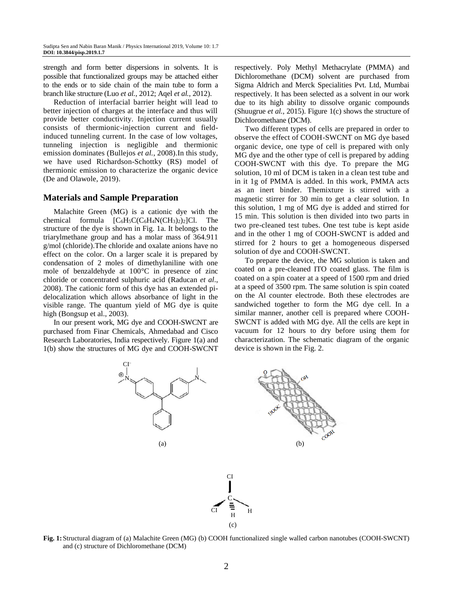strength and form better dispersions in solvents. It is possible that functionalized groups may be attached either to the ends or to side chain of the main tube to form a branch like structure (Luo *et al.*, 2012; Aqel *et al.*, 2012).

Reduction of interfacial barrier height will lead to better injection of charges at the interface and thus will provide better conductivity. Injection current usually consists of thermionic-injection current and fieldinduced tunneling current. In the case of low voltages, tunneling injection is negligible and thermionic emission dominates (Bullejos *et al.*, 2008).In this study, we have used Richardson-Schottky (RS) model of thermionic emission to characterize the organic device (De and Olawole, 2019).

#### **Materials and Sample Preparation**

Malachite Green (MG) is a cationic dye with the chemical formula  $[C_6H_5C(C_6H_4N(CH_3)_2)_2]Cl$ . The structure of the dye is shown in Fig. 1a. It belongs to the triarylmethane group and has a molar mass of 364.911 g/mol (chloride).The chloride and oxalate anions have no effect on the color. On a larger scale it is prepared by condensation of 2 moles of dimethylaniline with one mole of benzaldehyde at 100°C in presence of zinc chloride or concentrated sulphuric acid (Raducan *et al*., 2008). The cationic form of this dye has an extended pidelocalization which allows absorbance of light in the visible range. The quantum yield of MG dye is quite high (Bongsup et al., 2003).

In our present work, MG dye and COOH-SWCNT are purchased from Finar Chemicals, Ahmedabad and Cisco Research Laboratories, India respectively. Figure 1(a) and 1(b) show the structures of MG dye and COOH-SWCNT respectively. Poly Methyl Methacrylate (PMMA) and Dichloromethane (DCM) solvent are purchased from Sigma Aldrich and Merck Specialities Pvt. Ltd, Mumbai respectively. It has been selected as a solvent in our work due to its high ability to dissolve organic compounds (Shuugrue *et al.*, 2015). Figure 1(c) shows the structure of Dichloromethane (DCM).

Two different types of cells are prepared in order to observe the effect of COOH-SWCNT on MG dye based organic device, one type of cell is prepared with only MG dye and the other type of cell is prepared by adding COOH-SWCNT with this dye. To prepare the MG solution, 10 ml of DCM is taken in a clean test tube and in it 1g of PMMA is added. In this work, PMMA acts as an inert binder. Themixture is stirred with a magnetic stirrer for 30 min to get a clear solution. In this solution, 1 mg of MG dye is added and stirred for 15 min. This solution is then divided into two parts in two pre-cleaned test tubes. One test tube is kept aside and in the other 1 mg of COOH-SWCNT is added and stirred for 2 hours to get a homogeneous dispersed solution of dye and COOH-SWCNT.

To prepare the device, the MG solution is taken and coated on a pre-cleaned ITO coated glass. The film is coated on a spin coater at a speed of 1500 rpm and dried at a speed of 3500 rpm. The same solution is spin coated on the Al counter electrode. Both these electrodes are sandwiched together to form the MG dye cell. In a similar manner, another cell is prepared where COOH-SWCNT is added with MG dye. All the cells are kept in vacuum for 12 hours to dry before using them for characterization. The schematic diagram of the organic device is shown in the Fig. 2.



**Fig. 1:**Structural diagram of (a) Malachite Green (MG) (b) COOH functionalized single walled carbon nanotubes (COOH-SWCNT) and (c) structure of Dichloromethane (DCM)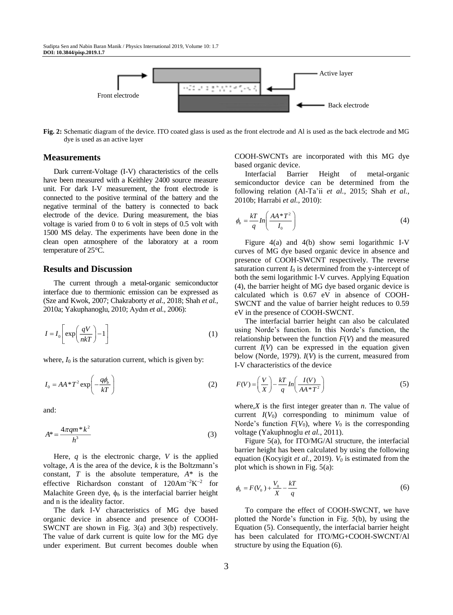

**Fig. 2:** Schematic diagram of the device. ITO coated glass is used as the front electrode and Al is used as the back electrode and MG dye is used as an active layer

#### **Measurements**

Dark current-Voltage (I-V) characteristics of the cells have been measured with a Keithley 2400 source measure unit. For dark I-V measurement, the front electrode is connected to the positive terminal of the battery and the negative terminal of the battery is connected to back electrode of the device. During measurement, the bias voltage is varied from 0 to 6 volt in steps of 0.5 volt with 1500 MS delay. The experiments have been done in the clean open atmosphere of the laboratory at a room temperature of 25°C.

### **Results and Discussion**

The current through a metal-organic semiconductor interface due to thermionic emission can be expressed as (Sze and Kwok, 2007; Chakraborty *et al.*, 2018; Shah *et al.*, 2010a; Yakuphanoglu, 2010; Aydın *et al.*, 2006):

$$
I = I_0 \left[ \exp\left(\frac{qV}{nkT}\right) - 1 \right] \tag{1}
$$

where,  $I_0$  is the saturation current, which is given by:

$$
I_0 = AA * T^2 \exp\left(-\frac{q\phi_b}{kT}\right) \tag{2}
$$

and:

$$
A^* = \frac{4\pi qm^*k^2}{h^3} \tag{3}
$$

Here, *q* is the electronic charge, *V* is the applied voltage, *A* is the area of the device, *k* is the Boltzmann's constant, *T* is the absolute temperature, *A*\* is the effective Richardson constant of  $120Am^{-2}K^{-2}$  for Malachite Green dye,  $\phi_b$  is the interfacial barrier height and n is the ideality factor.

The dark I-V characteristics of MG dye based organic device in absence and presence of COOH-SWCNT are shown in Fig. 3(a) and 3(b) respectively. The value of dark current is quite low for the MG dye under experiment. But current becomes double when COOH-SWCNTs are incorporated with this MG dye based organic device.

Interfacial Barrier Height of metal-organic semiconductor device can be determined from the following relation (Al-Ta'ii *et al.*, 2015; Shah *et al.*, 2010b; Harrabi *et al.*, 2010):

$$
\phi_b = \frac{kT}{q} \ln \left( \frac{AA * T^2}{I_0} \right) \tag{4}
$$

Figure 4(a) and 4(b) show semi logarithmic I-V curves of MG dye based organic device in absence and presence of COOH-SWCNT respectively. The reverse saturation current  $I_0$  is determined from the y-intercept of both the semi logarithmic I-V curves. Applying Equation (4), the barrier height of MG dye based organic device is calculated which is 0.67 eV in absence of COOH-SWCNT and the value of barrier height reduces to 0.59 eV in the presence of COOH-SWCNT.

The interfacial barrier height can also be calculated using Norde's function. In this Norde's function, the relationship between the function  $F(V)$  and the measured current  $I(V)$  can be expressed in the equation given below (Norde, 1979). *I*(*V*) is the current, measured from I-V characteristics of the device

$$
F(V) = \left(\frac{V}{X}\right) - \frac{kT}{q} \ln\left(\frac{I(V)}{AA * T^2}\right)
$$
 (5)

where, $X$  is the first integer greater than  $n$ . The value of current  $I(V_0)$  corresponding to minimum value of Norde's function  $F(V_0)$ , where  $V_0$  is the corresponding voltage (Yakuphnoglu *et al.*, 2011).

Figure 5(a), for ITO/MG/Al structure, the interfacial barrier height has been calculated by using the following equation (Kocyigit *et al.*, 2019). *V<sup>0</sup>* is estimated from the plot which is shown in Fig. 5(a):

$$
\phi_b = F(V_0) + \frac{V_0}{X} - \frac{kT}{q}
$$
\n(6)

To compare the effect of COOH-SWCNT, we have plotted the Norde's function in Fig. 5(b), by using the Equation (5). Consequently, the interfacial barrier height has been calculated for ITO/MG+COOH-SWCNT/Al structure by using the Equation (6).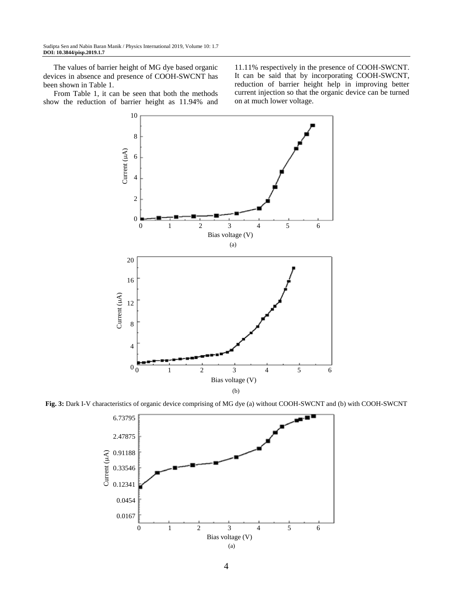The values of barrier height of MG dye based organic devices in absence and presence of COOH-SWCNT has been shown in Table 1.

From Table 1, it can be seen that both the methods show the reduction of barrier height as 11.94% and 11.11% respectively in the presence of COOH-SWCNT. It can be said that by incorporating COOH-SWCNT, reduction of barrier height help in improving better current injection so that the organic device can be turned on at much lower voltage.



**Fig. 3:** Dark I-V characteristics of organic device comprising of MG dye (a) without COOH-SWCNT and (b) with COOH-SWCNT

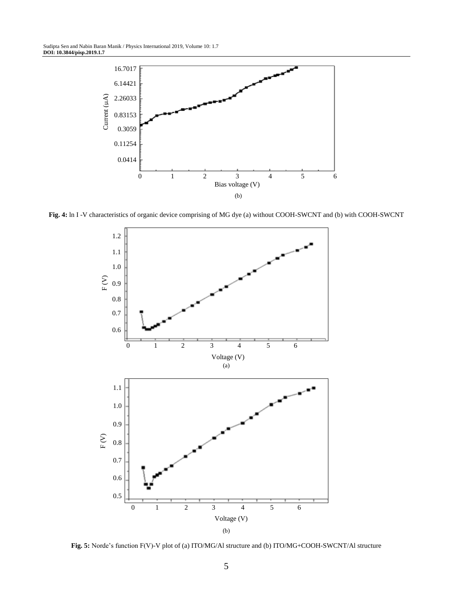

**Fig. 4:** ln I -V characteristics of organic device comprising of MG dye (a) without COOH-SWCNT and (b) with COOH-SWCNT



**Fig. 5:** Norde's function F(V)-V plot of (a) ITO/MG/Al structure and (b) ITO/MG+COOH-SWCNT/Al structure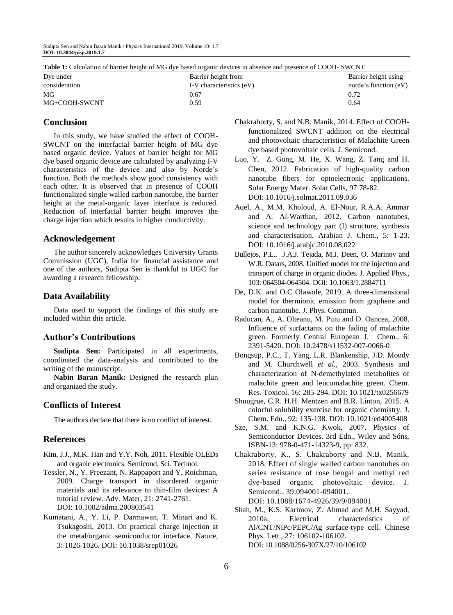Sudipta Sen and Nabin Baran Manik / Physics International 2019, Volume 10: 1.7 **DOI: 10.3844/pisp.2019.1.7**

| Dye under     | Barrier height from      | Barrier height using    |
|---------------|--------------------------|-------------------------|
| consideration | I-V characteristics (eV) | norde's function $(eV)$ |
| MG            | 0.67                     | 0.72                    |
| MG+COOH-SWCNT | 0.59                     | 0.64                    |
|               |                          |                         |

**Table 1:** Calculation of barrier height of MG dye based organic devices in absence and presence of COOH- SWCNT

## **Conclusion**

In this study, we have studied the effect of COOH-SWCNT on the interfacial barrier height of MG dye based organic device. Values of barrier height for MG dye based organic device are calculated by analyzing I-V characteristics of the device and also by Norde's function. Both the methods show good consistency with each other. It is observed that in presence of COOH functionalized single walled carbon nanotube, the barrier height at the metal-organic layer interface is reduced. Reduction of interfacial barrier height improves the charge injection which results in higher conductivity.

#### **Acknowledgement**

The author sincerely acknowledges University Grants Commission (UGC), India for financial assistance and one of the authors, Sudipta Sen is thankful to UGC for awarding a research fellowship.

#### **Data Availability**

Data used to support the findings of this study are included within this article.

## **Author's Contributions**

**Sudipta Sen:** Participated in all experiments, coordinated the data-analysis and contributed to the writing of the manuscript.

**Nabin Baran Manik:** Designed the research plan and organized the study.

#### **Conflicts of Interest**

The authors declare that there is no conflict of interest.

#### **References**

- Kim, J.J., M.K. Han and Y.Y. Noh, 2011. Flexible OLEDs and organic electronics. Semicond. Sci. Technol.
- Tessler, N., Y. Preezant, N. Rappaport and Y. Roichman, 2009. Charge transport in disordered organic materials and its relevance to thin-film devices: A tutorial review. Adv. Mater, 21: 2741-2761. DOI: 10.1002/adma.200803541
- Kumatani, A., Y. Li, P. Darmawan, T. Minari and K. Tsukagoshi, 2013. On practical charge injection at the metal/organic semiconductor interface. Nature, 3: 1026-1026. DOI: 10.1038/srep01026
- Chakraborty, S. and N.B. Manik, 2014. Effect of COOHfunctionalized SWCNT addition on the electrical and photovoltaic characteristics of Malachite Green dye based photovoltaic cells. J. Semicond.
- Luo, Y. Z. Gong, M. He, X. Wang, Z. Tang and H. Chen, 2012. Fabrication of high-quality carbon nanotube fibers for optoelectronic applications. Solar Energy Mater. Solar Cells, 97:78-82. DOI: 10.1016/j.solmat.2011.09.036
- Aqel, A., M.M. Kholoud, A. El-Nour, R.A.A. Ammar and A. Al-Warthan, 2012. Carbon nanotubes, science and technology part (I) structure, synthesis and characterisation. Arabian J. Chem., 5: 1-23. DOI: 10.1016/j.arabjc.2010.08.022
- Bullejos, P.L., J.A.J. Tejada, M.J. Deen, O. Marinov and W.R. Datars, 2008. Unified model for the injection and transport of charge in organic diodes. J. Applied Phys., 103: 064504-064504. DOI: 10.1063/1.2884711
- De, D.K. and O.C Olawole, 2019. A three-dimensional model for thermionic emission from graphene and carbon nanotube. J. Phys. Commun.
- Raducan, A., A. Olteanu, M. Puiu and D. Oancea, 2008. Influence of surfactants on the fading of malachite green. Formerly Central European J. Chem., 6: 2391-5420. DOI: 10.2478/s11532-007-0066-0
- Bongsup, P.C., T. Yang, L.R. Blankenship, J.D. Moody and M. Churchwell *et al.*, 2003. Synthesis and characterization of N-demethylated metabolites of malachite green and leucomalachite green. Chem. Res. Toxicol, 16: 285-294. DOI: 10.1021/tx0256679
- Shuugrue, C.R. H.H. Mentzen and B.R. Linton, 2015. A colorful solubility exercise for organic chemistry. J. Chem. Edu., 92: 135-138. DOI: 10.1021/ed4005408
- Sze, S.M. and K.N.G. Kwok, 2007. Physics of Semiconductor Devices. 3rd Edn., Wiley and Sóns, ISBN-13: 978-0-471-14323-9, pp: 832.
- Chakraborty, K., S. Chakraborty and N.B. Manik, 2018. Effect of single walled carbon nanotubes on series resistance of rose bengal and methyl red dye-based organic photovoltaic device. J. Semicond., 39:094001-094001.

DOI: 10.1088/1674-4926/39/9/094001

Shah, M., K.S. Karimov, Z. Ahmad and M.H. Sayyad, 2010a. Electrical characteristics of Al/CNT/NiPc/PEPC/Ag surface-type cell. Chinese Phys. Lett., 27: 106102-106102. DOI: 10.1088/0256-307X/27/10/106102